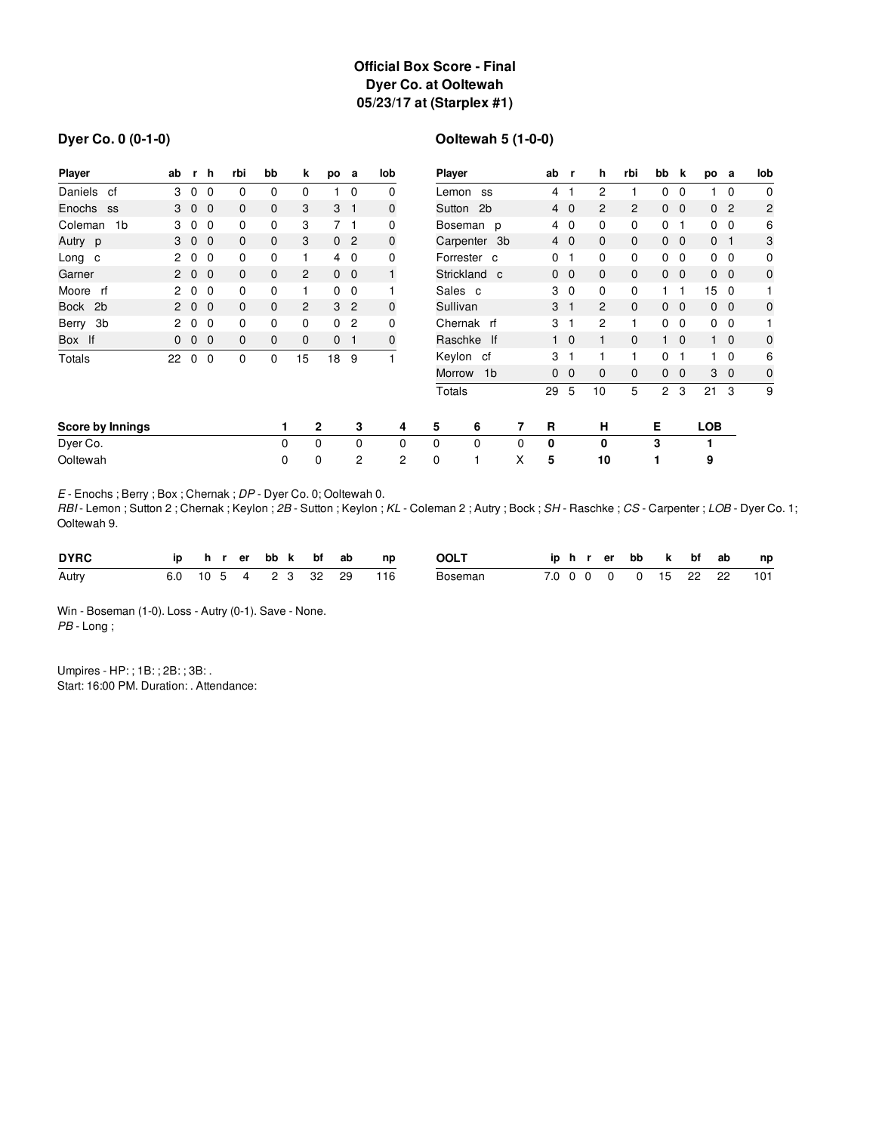## **Official Box Score - Final Dyer Co. at Ooltewah 05/23/17 at (Starplex #1)**

#### **Dyer Co. 0 (0-1-0)**

# **Ooltewah 5 (1-0-0)**

| <b>Player</b>             | ab                   | r              | h.             | rbi          | bb           | k              | po             | a              | lob         | Player                    |             | ab | r            | h              | rbi            | bb             | k              | po             | a               | lob            |                |
|---------------------------|----------------------|----------------|----------------|--------------|--------------|----------------|----------------|----------------|-------------|---------------------------|-------------|----|--------------|----------------|----------------|----------------|----------------|----------------|-----------------|----------------|----------------|
| Daniels<br>cf             | 3                    | $\overline{0}$ | $\mathbf 0$    | 0            | 0            | 0              |                | $\mathbf 0$    | 0           |                           | Lemon<br>SS |    |              |                | 2              |                | 0              | $\mathbf 0$    |                 | $\mathbf 0$    | $\mathbf 0$    |
| Enochs ss                 |                      | 3 0 0          |                | $\mathbf{0}$ | $\mathbf{0}$ | 3              | 3 <sub>1</sub> |                | $\mathbf 0$ | Sutton 2b                 |             |    |              | $4\quad0$      | $\overline{c}$ | $\overline{2}$ |                | $0\quad 0$     |                 | 0 <sub>2</sub> | $\overline{c}$ |
| 1 <sub>b</sub><br>Coleman | 3                    | $\overline{0}$ | $\mathbf{0}$   | 0            | 0            | 3              |                | 7 <sub>1</sub> | 0           | Boseman p                 |             |    | 4            | $\overline{0}$ | 0              | $\mathbf{0}$   | $\mathbf{0}$   | $\mathbf 1$    |                 | $0\quad 0$     | 6              |
| Autry p                   |                      | 3 0 0          |                | 0            | 0            | 3              |                | 0 <sub>2</sub> | $\mathbf 0$ | Carpenter 3b              |             |    |              | $4\quad0$      | $\mathbf{0}$   | $\mathbf{0}$   |                | $0\quad 0$     | 0 <sub>1</sub>  |                | 3              |
| Long c                    | $\mathbf{2}^{\circ}$ | $\mathbf 0$    | $\mathbf{0}$   | 0            | 0            |                |                | 4 0            | 0           | Forrester c               |             |    | 0            | $\mathbf 1$    | 0              | $\mathbf 0$    | $\overline{0}$ | $\overline{0}$ |                 | $0\quad 0$     | 0              |
| Garner                    |                      | 200            |                | $\mathbf{0}$ | 0            | $\overline{2}$ |                | $0\quad 0$     | 1           | Strickland c              |             |    | $\mathbf{0}$ | $\overline{0}$ | $\mathbf{0}$   | $\mathbf 0$    |                | $0\quad 0$     |                 | $0\quad 0$     | $\mathbf 0$    |
| Moore rf                  | $\mathbf{2}^{\circ}$ | $\mathbf 0$    | $\Omega$       | 0            | 0            |                |                | $0\quad 0$     |             | Sales c                   |             |    | 3            | $\mathbf 0$    | 0              | $\mathbf 0$    | 1.             | -1             | 15 <sub>0</sub> |                |                |
| Bock 2b                   |                      | 200            |                | $\mathbf{0}$ | $\mathbf{0}$ | $\overline{2}$ |                | 3 <sub>2</sub> | $\mathbf 0$ | Sullivan                  |             |    | 3            | $\mathbf{1}$   | $\overline{2}$ | $\mathbf{0}$   |                | $0\quad 0$     |                 | $0\quad 0$     | 0              |
| Berry 3b                  | 2                    | 0              | $\Omega$       | 0            | 0            | 0              | $\Omega$       | $\overline{c}$ | 0           | Chernak rf                |             | 3  | 1            | 2              | 1              | 0              | $\mathbf 0$    |                | $0\quad 0$      |                |                |
| Box If                    | $\mathbf{0}$         | $\mathbf 0$    | $\overline{0}$ | $\mathbf{0}$ | 0            | $\mathbf{0}$   |                | 0 <sub>1</sub> | 0           |                           | Raschke If  |    |              | $1\quad 0$     | 1              | $\mathbf{0}$   | 1              | $\overline{0}$ |                 | $1\quad 0$     | $\mathbf 0$    |
| <b>Totals</b>             | 22                   | 0              | $\mathbf 0$    | 0            | 0            | 15             | 18             | 9              |             | Keylon cf<br>1b<br>Morrow |             | 3  | 1            |                | 1              | 0              |                |                | $\mathbf 0$     | 6              |                |
|                           |                      |                |                |              |              |                |                |                |             |                           |             | 0  | $\mathbf{0}$ | $\mathbf{0}$   | $\mathbf{0}$   | $\Omega$       | $\Omega$       |                | $3\quad0$       | $\mathbf 0$    |                |
|                           |                      |                |                |              |              |                |                |                |             |                           | Totals      |    | 29           | 5              | 10             | 5              | $\overline{2}$ | 3              | 21              | 3              | 9              |
| Score by Innings          |                      |                |                |              |              |                | $\mathbf{2}$   | 3              | 4           | 5                         | 6           | 7  | R            |                | н              |                | Е              |                | <b>LOB</b>      |                |                |
| Dyer Co.                  |                      |                |                |              | 0            |                | 0              | $\Omega$       | $\Omega$    | $\Omega$                  | $\Omega$    | 0  | 0            |                | 0              |                | 3              |                | 1               |                |                |
| Ooltewah                  |                      |                |                |              | 0            |                | 0              | 2              | 2           | 0                         |             | X  | 5            |                | 10             |                | 1              |                | 9               |                |                |

*E* - Enochs ; Berry ; Box ; Chernak ; *DP* - Dyer Co. 0; Ooltewah 0.

*RBI* - Lemon ; Sutton 2 ; Chernak ; Keylon ; *2B* - Sutton ; Keylon ; *KL* - Coleman 2 ; Autry ; Bock ; *SH* - Raschke ; *CS* - Carpenter ; *LOB* - Dyer Co. 1; Ooltewah 9.

| <b>DYRC</b> |  |  | ip hrerbbk bfab      |  | np  | <b>OOLT</b> | iphrerbb k bf ab |  |  |  | np                       |
|-------------|--|--|----------------------|--|-----|-------------|------------------|--|--|--|--------------------------|
| Autry       |  |  | 6.0 10 5 4 2 3 32 29 |  | 116 | Boseman     |                  |  |  |  | 7.0 0 0 0 0 15 22 22 101 |

Win - Boseman (1-0). Loss - Autry (0-1). Save - None. *PB* - Long ;

Umpires - HP: ; 1B: ; 2B: ; 3B: . Start: 16:00 PM. Duration: . Attendance: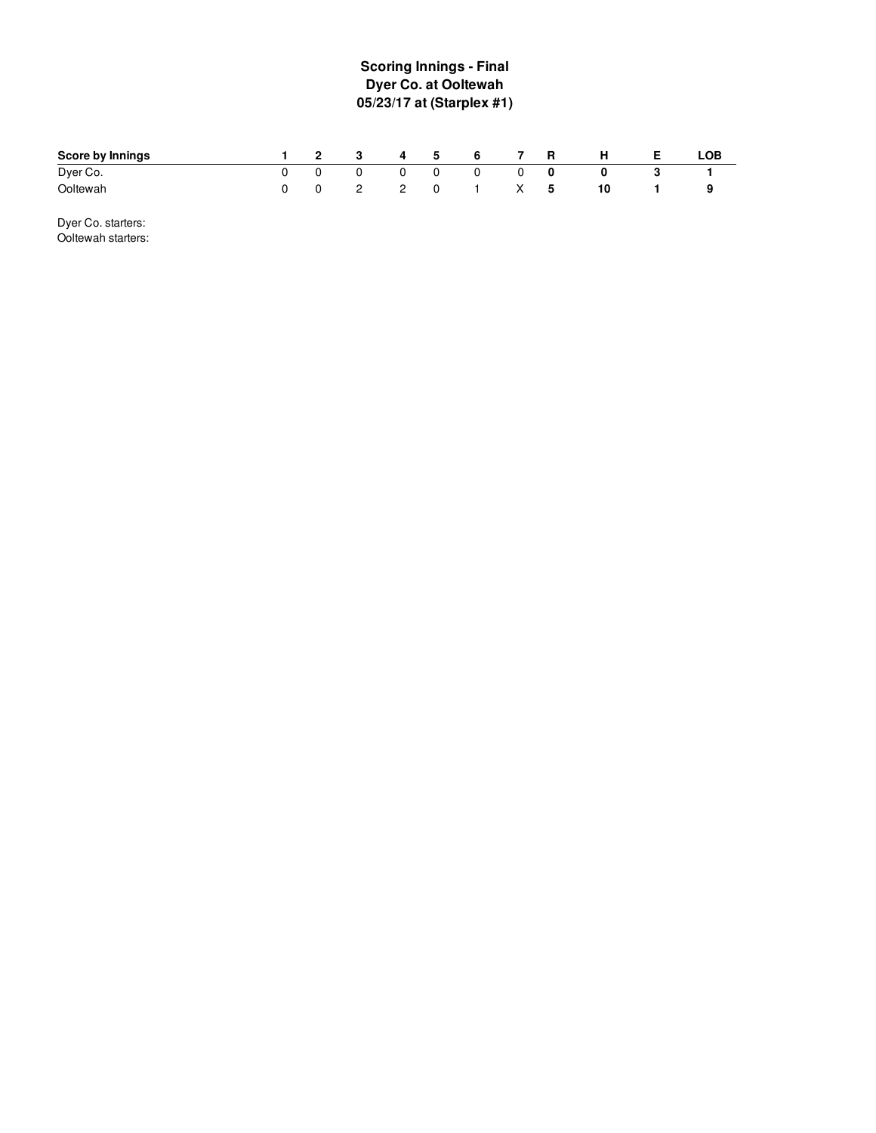## **S c o rin g In nin g s - Fin al Dyer Co. at Ooltewah 0 5 / 2 3 /1 7 a t ( S ta r ple x # 1 )**

| Score by Innings | $\sim$ 2 | $\overline{\mathbf{3}}$ | 4 5 |   | -6 |     | R | н  | LOB |
|------------------|----------|-------------------------|-----|---|----|-----|---|----|-----|
| Dyer Co.         |          | 0                       |     |   | 0  |     | 0 |    |     |
| Ooltewah         |          | $\mathcal{P}$           |     | 0 |    | X — | 5 | 10 |     |

Dyer Co. starters: Ooltewah starters: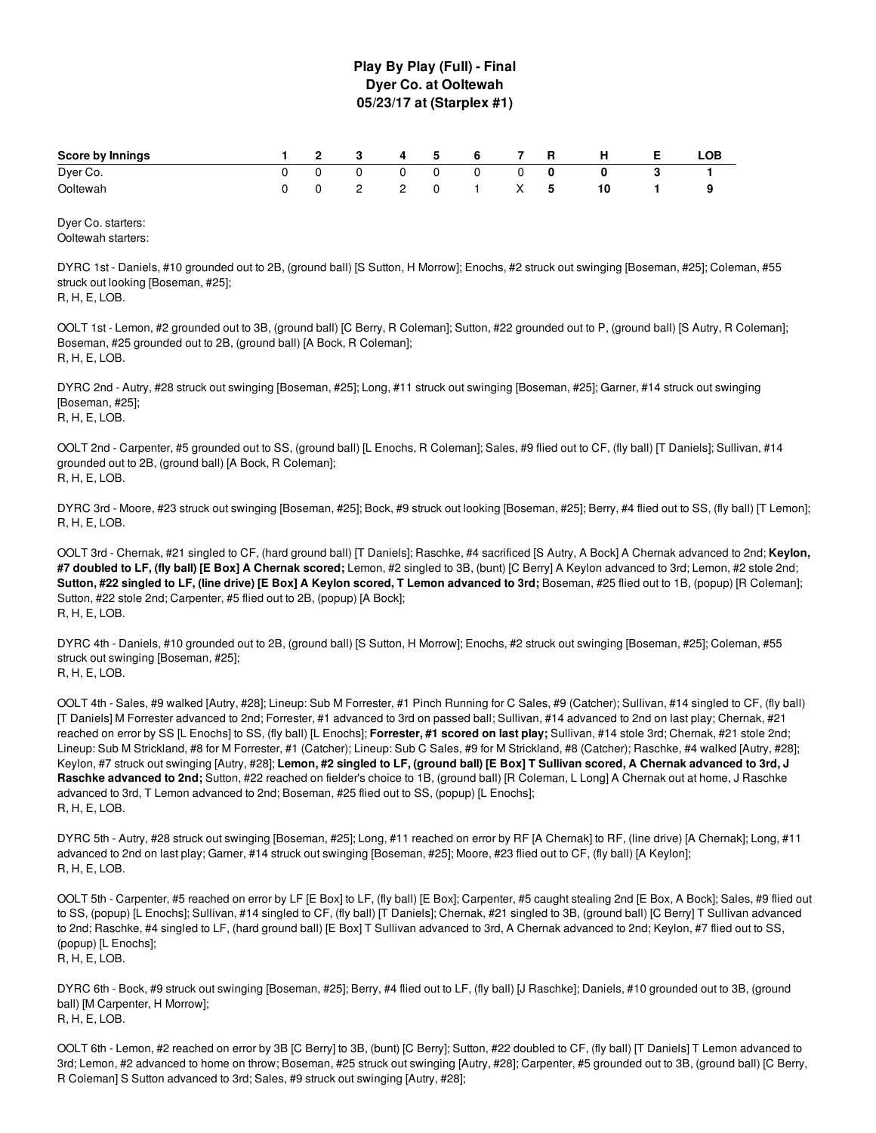#### **Play By Play (Full) - Final Dyer Co. at Ooltewah 05/23/17 at (Starplex #1)**

| Score by Innings | ົ | $\mathbf{3}$  | 4 | 5 | 6 |   | <b>R</b> | H | LOB |
|------------------|---|---------------|---|---|---|---|----------|---|-----|
| Dyer Co.         |   |               |   |   | 0 |   |          |   |     |
| Ooltewah         |   | $\mathcal{P}$ |   |   |   | x | b        |   |     |

Dyer Co. starters: Ooltewah starters:

DYRC 1st - Daniels, #10 grounded out to 2B, (ground ball) [S Sutton, H Morrow]; Enochs, #2 struck out swinging [Boseman, #25]; Coleman, #55 struck out looking [Boseman, #25]; R, H, E, LOB.

OOLT 1st - Lemon, #2 grounded out to 3B, (ground ball) [C Berry, R Coleman]; Sutton, #22 grounded out to P, (ground ball) [S Autry, R Coleman]; Boseman, #25 grounded out to 2B, (ground ball) [A Bock, R Coleman]; R, H, E, LOB.

DYRC 2nd - Autry, #28 struck out swinging [Boseman, #25]; Long, #11 struck out swinging [Boseman, #25]; Garner, #14 struck out swinging [Boseman, #25]; R, H, E, LOB.

OOLT 2nd - Carpenter, #5 grounded out to SS, (ground ball) [L Enochs, R Coleman]; Sales, #9 flied out to CF, (fly ball) [T Daniels]; Sullivan, #14 grounded out to 2B, (ground ball) [A Bock, R Coleman]; R, H, E, LOB.

DYRC 3rd - Moore, #23 struck out swinging [Boseman, #25]; Bock, #9 struck out looking [Boseman, #25]; Berry, #4 flied out to SS, (fly ball) [T Lemon]; R, H, E, LOB.

OOLT 3rd - Chernak, #21 singled to CF, (hard ground ball) [T Daniels]; Raschke, #4 sacrificed [S Autry, A Bock] A Chernak advanced to 2nd; **Keylon, #7 doubled to LF, (fly ball) [E Box] A Chernak scored;** Lemon, #2 singled to 3B, (bunt) [C Berry] A Keylon advanced to 3rd; Lemon, #2 stole 2nd; Sutton, #22 singled to LF, (line drive) [E Box] A Keylon scored, T Lemon advanced to 3rd; Boseman, #25 flied out to 1B, (popup) [R Coleman]; Sutton, #22 stole 2nd; Carpenter, #5 flied out to 2B, (popup) [A Bock]; R, H, E, LOB.

DYRC 4th - Daniels, #10 grounded out to 2B, (ground ball) [S Sutton, H Morrow]; Enochs, #2 struck out swinging [Boseman, #25]; Coleman, #55 struck out swinging [Boseman, #25]; R, H, E, LOB.

OOLT 4th - Sales, #9 walked [Autry, #28]; Lineup: Sub M Forrester, #1 Pinch Running for C Sales, #9 (Catcher); Sullivan, #14 singled to CF, (fly ball) [T Daniels] M Forrester advanced to 2nd; Forrester, #1 advanced to 3rd on passed ball; Sullivan, #14 advanced to 2nd on last play; Chernak, #21 reached on error by SS [L Enochs] to SS, (fly ball) [L Enochs]; **Forrester, #1 scored on last play;** Sullivan, #14 stole 3rd; Chernak, #21 stole 2nd; Lineup: Sub M Strickland, #8 for M Forrester, #1 (Catcher); Lineup: Sub C Sales, #9 for M Strickland, #8 (Catcher); Raschke, #4 walked [Autry, #28]; Keylon, #7 struck out swinging [Autry, #28]; Lemon, #2 singled to LF, (ground ball) [E Box] T Sullivan scored, A Chernak advanced to 3rd, J **Raschke advanced to 2nd;** Sutton, #22 reached on fielder's choice to 1B, (ground ball) [R Coleman, L Long] A Chernak out at home, J Raschke advanced to 3rd, T Lemon advanced to 2nd; Boseman, #25 flied out to SS, (popup) [L Enochs]; R, H, E, LOB.

DYRC 5th - Autry, #28 struck out swinging [Boseman, #25]; Long, #11 reached on error by RF [A Chernak] to RF, (line drive) [A Chernak]; Long, #11 advanced to 2nd on last play; Garner, #14 struck out swinging [Boseman, #25]; Moore, #23 flied out to CF, (fly ball) [A Keylon]; R, H, E, LOB.

OOLT 5th - Carpenter, #5 reached on error by LF [E Box] to LF, (fly ball) [E Box]; Carpenter, #5 caught stealing 2nd [E Box, A Bock]; Sales, #9 flied out to SS, (popup) [L Enochs]; Sullivan, #14 singled to CF, (fly ball) [T Daniels]; Chernak, #21 singled to 3B, (ground ball) [C Berry] T Sullivan advanced to 2nd; Raschke, #4 singled to LF, (hard ground ball) [E Box] T Sullivan advanced to 3rd, A Chernak advanced to 2nd; Keylon, #7 flied out to SS, (popup) [L Enochs]; R, H, E, LOB.

DYRC 6th - Bock, #9 struck out swinging [Boseman, #25]; Berry, #4 flied out to LF, (fly ball) [J Raschke]; Daniels, #10 grounded out to 3B, (ground ball) [M Carpenter, H Morrow]; R, H, E, LOB.

OOLT 6th - Lemon, #2 reached on error by 3B [C Berry] to 3B, (bunt) [C Berry]; Sutton, #22 doubled to CF, (fly ball) [T Daniels] T Lemon advanced to 3rd; Lemon, #2 advanced to home on throw; Boseman, #25 struck out swinging [Autry, #28]; Carpenter, #5 grounded out to 3B, (ground ball) [C Berry, R Coleman] S Sutton advanced to 3rd; Sales, #9 struck out swinging [Autry, #28];